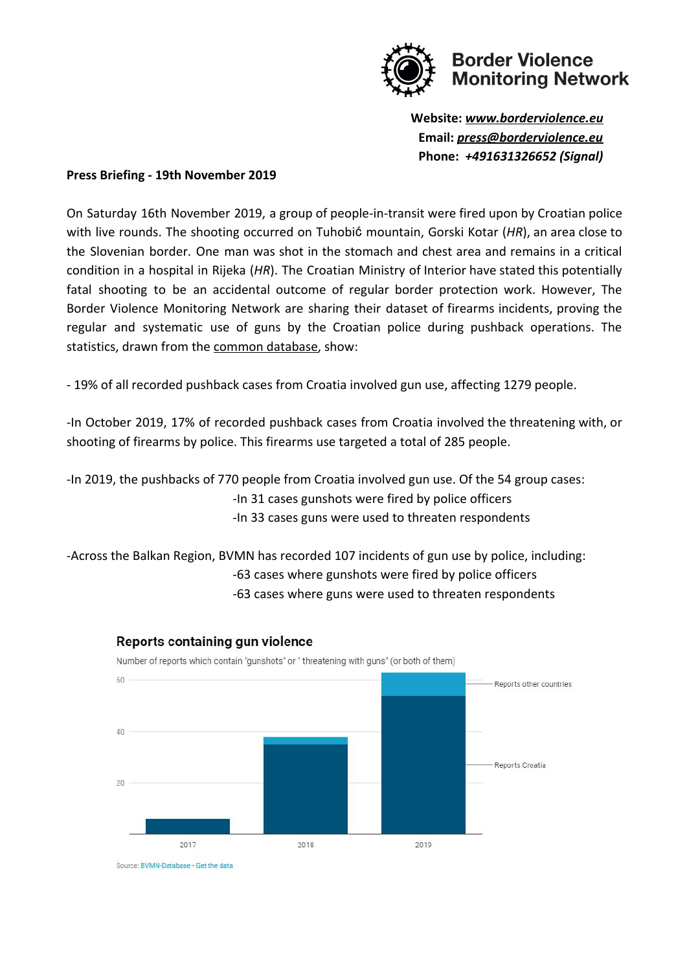

**Website:** *[www.borderviolence.eu](http://www.borderviolence.eu/)* **Email:** *[press@borderviolence.eu](mailto:press@borderviolence.eu)* **Phone:** *+491631326652 (Signal)*

#### **Press Briefing - 19th November 2019**

On Saturday 16th November 2019, a group of people-in-transit were fired upon by Croatian police with live rounds. The shooting occurred on Tuhobić mountain, Gorski Kotar (*HR*), an area close to the Slovenian border. One man was shot in the stomach and chest area and remains in a critical condition in a hospital in Rijeka (*HR*). The Croatian Ministry of Interior have stated this potentially fatal shooting to be an accidental outcome of regular border protection work. However, The Border Violence Monitoring Network are sharing their dataset of firearms incidents, proving the regular and systematic use of guns by the Croatian police during pushback operations. The statistics, drawn from the [common database,](https://www.borderviolence.eu/statistics/gun-violence/) show:

- 19% of all recorded pushback cases from Croatia involved gun use, affecting 1279 people.

-In October 2019, 17% of recorded pushback cases from Croatia involved the threatening with, or shooting of firearms by police. This firearms use targeted a total of 285 people.

-In 2019, the pushbacks of 770 people from Croatia involved gun use. Of the 54 group cases:

-In 31 cases gunshots were fired by police officers

-In 33 cases guns were used to threaten respondents

-Across the Balkan Region, BVMN has recorded 107 incidents of gun use by police, including: -63 cases where gunshots were fired by police officers

-63 cases where guns were used to threaten respondents



#### Reports containing gun violence

Number of reports which contain "gunshots" or " threatening with guns" (or both of them)

Source: BVMN-Database - Get the data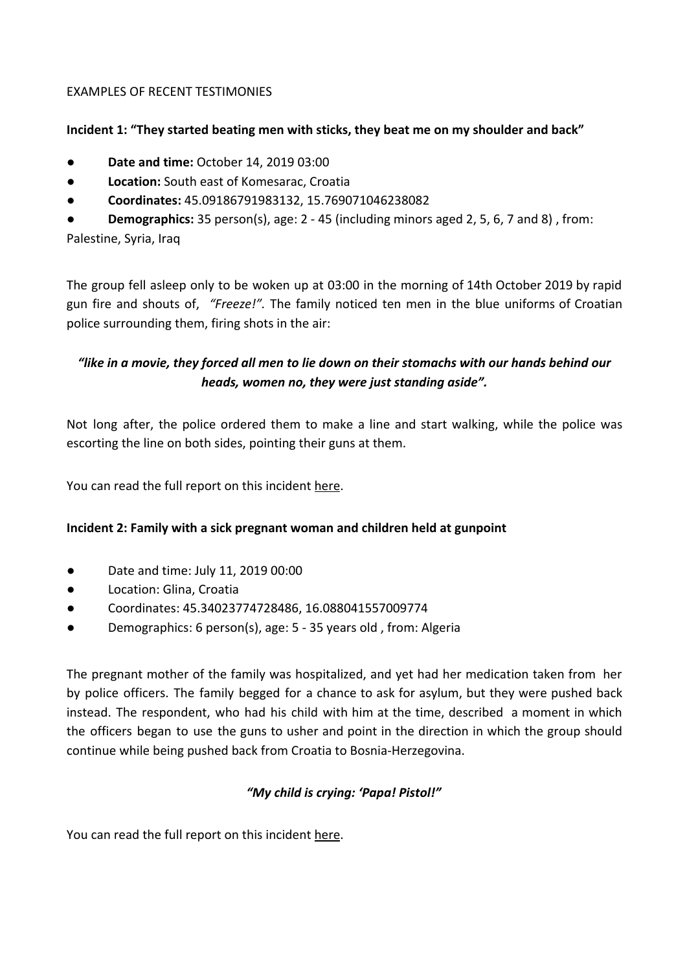# EXAMPLES OF RECENT TESTIMONIES

### **Incident 1: "They started beating men with sticks, they beat me on my shoulder and back"**

- **Date and time:** October 14, 2019 03:00
- **Location:** South east of Komesarac, Croatia
- **Coordinates:** 45.09186791983132, 15.769071046238082

**Demographics:** 35 person(s), age: 2 - 45 (including minors aged 2, 5, 6, 7 and 8), from:

Palestine, Syria, Iraq

The group fell asleep only to be woken up at 03:00 in the morning of 14th October 2019 by rapid gun fire and shouts of, *"Freeze!".* The family noticed ten men in the blue uniforms of Croatian police surrounding them, firing shots in the air:

# *"like in a movie, they forced all men to lie down on their stomachs with our hands behind our heads, women no, they were just standing aside".*

Not long after, the police ordered them to make a line and start walking, while the police was escorting the line on both sides, pointing their guns at them.

You can read the full report on this incident [here](https://www.borderviolence.eu/violence-reports/october-14-2019-0300-south-east-of-komesarac-croatia/).

# **Incident 2: Family with a sick pregnant woman and children held at gunpoint**

- Date and time: July 11, 2019 00:00
- Location: Glina, Croatia
- Coordinates: 45.34023774728486, 16.088041557009774
- Demographics: 6 person(s), age: 5 35 years old , from: Algeria

The pregnant mother of the family was hospitalized, and yet had her medication taken from her by police officers. The family begged for a chance to ask for asylum, but they were pushed back instead. The respondent, who had his child with him at the time, described a moment in which the officers began to use the guns to usher and point in the direction in which the group should continue while being pushed back from Croatia to Bosnia-Herzegovina.

# *"My child is crying: 'Papa! Pistol!"*

You can read the full report on this incident [here](https://www.borderviolence.eu/violence-reports/july-11-2019-0000-glina-croatia/).